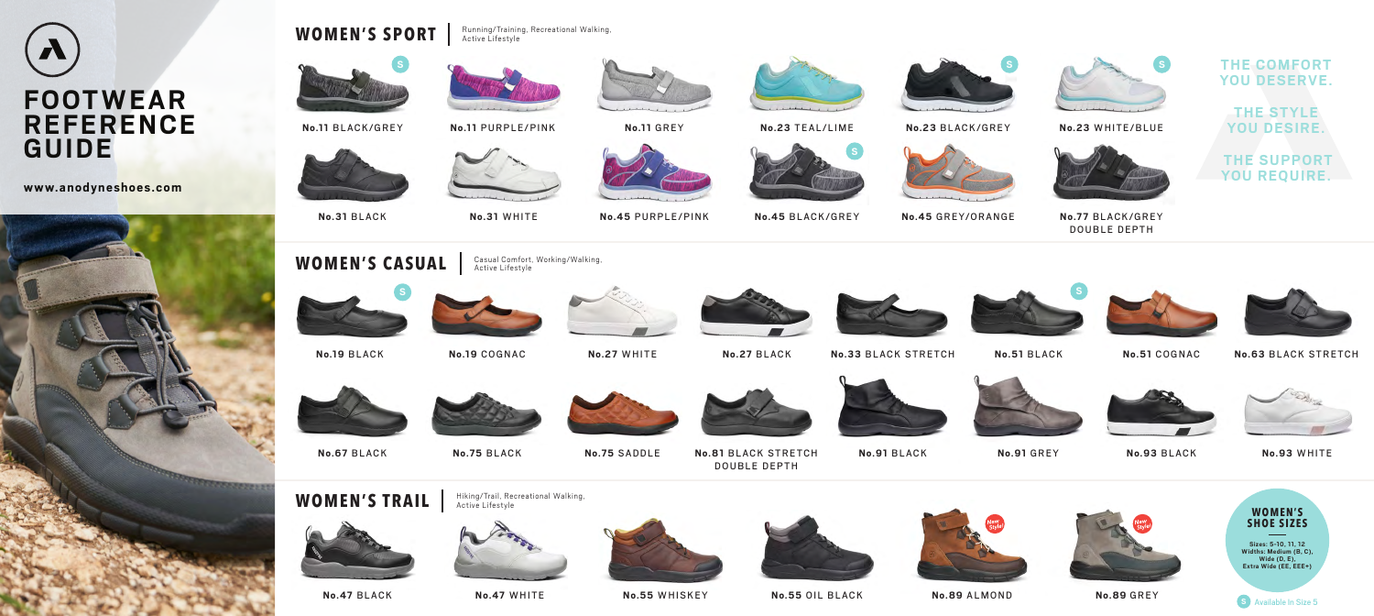

**No.77** BLACK/GREY DOUBLE DEPTH

### **THE COMFORT** YOU DESERVE.

**No.31** BLACK **No.31** WHITE



**No.11** BLACK/GREY **No.11** PURPLE/PINK **No.11** GREY **No.23** TEAL/LIME **No.23** BLACK/GREY **No.23** WHITE/BLUE



**No.45** PURPLE/PINK **No.45** BLACK/GREY **No.45** GREY/ORANGE















**No.47** BLACK **No.47** WHITE







**No.51** COGNAC **No.63** BLACK STRETCH







**No.67** BLACK **No.75** BLACK **No.75** SADDLE **No.81** BLACK STRETCH



DOUBLE DEPTH



**WOMEN'S CASUAL**



**No.55** WHISKEY **No.55** OIL BLACK









**No.19** BLACK







**THE STYLE YOU DESIRE.**



**No.91** BLACK **No.91** GREY **No.93** BLACK **No.93** WHITE



**THE SUPPORT YOU REQUIRE.**









# **FOOTWEAR REFERENCE GUIDE**

**www.anodyneshoes.com**



## WOMEN'S SPORT **Running/Training, Recreational Walking**,



**No.89** ALMOND **No.89** GREY



Casual Comfort, Working/Walking,

Active Lifestyle

Active Lifestyle